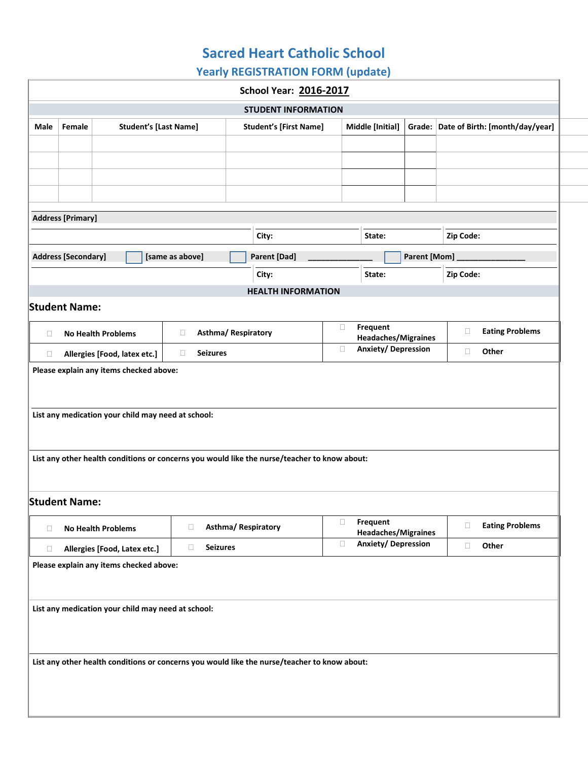## **Sacred Heart Catholic School**

## **Yearly REGISTRATION FORM (update)**

| <b>STUDENT INFORMATION</b><br><b>Student's [Last Name]</b><br>Middle [Initial]<br>Grade: Date of Birth: [month/day/year]<br>Female<br><b>Student's [First Name]</b><br>Male<br><b>Address [Primary]</b><br>Zip Code:<br>City:<br>State:<br><b>Address [Secondary]</b><br><b>Parent [Dad]</b><br><b>Parent [Mom]</b><br>[same as above]<br>City:<br>Zip Code:<br>State:<br><b>HEALTH INFORMATION</b><br><b>Student Name:</b><br>Frequent<br>$\Box$<br>$\Box$<br>Asthma/Respiratory<br>$\Box$<br><b>No Health Problems</b><br>$\Box$<br><b>Headaches/Migraines</b><br>Anxiety/Depression<br>$\Box$<br>Other<br>$\Box$<br><b>Seizures</b><br>$\Box$<br>Allergies [Food, latex etc.]<br>$\Box$<br>Please explain any items checked above:<br>List any medication your child may need at school:<br>List any other health conditions or concerns you would like the nurse/teacher to know about:<br><b>Student Name:</b><br>Frequent<br>0<br>$\Box$<br>Asthma/Respiratory<br>$\Box$<br><b>No Health Problems</b><br>□<br><b>Headaches/Migraines</b><br><b>Anxiety/Depression</b><br>$\Box$<br>Other<br>$\Box$<br><b>Seizures</b><br>□<br>Allergies [Food, Latex etc.]<br>$\Box$<br>Please explain any items checked above:<br>List any medication your child may need at school:<br>List any other health conditions or concerns you would like the nurse/teacher to know about: |  |  |  |  |  | <b>School Year: 2016-2017</b> |  |  |  |  |  |                        |  |
|-----------------------------------------------------------------------------------------------------------------------------------------------------------------------------------------------------------------------------------------------------------------------------------------------------------------------------------------------------------------------------------------------------------------------------------------------------------------------------------------------------------------------------------------------------------------------------------------------------------------------------------------------------------------------------------------------------------------------------------------------------------------------------------------------------------------------------------------------------------------------------------------------------------------------------------------------------------------------------------------------------------------------------------------------------------------------------------------------------------------------------------------------------------------------------------------------------------------------------------------------------------------------------------------------------------------------------------------------------------------------------|--|--|--|--|--|-------------------------------|--|--|--|--|--|------------------------|--|
|                                                                                                                                                                                                                                                                                                                                                                                                                                                                                                                                                                                                                                                                                                                                                                                                                                                                                                                                                                                                                                                                                                                                                                                                                                                                                                                                                                             |  |  |  |  |  |                               |  |  |  |  |  |                        |  |
|                                                                                                                                                                                                                                                                                                                                                                                                                                                                                                                                                                                                                                                                                                                                                                                                                                                                                                                                                                                                                                                                                                                                                                                                                                                                                                                                                                             |  |  |  |  |  |                               |  |  |  |  |  |                        |  |
|                                                                                                                                                                                                                                                                                                                                                                                                                                                                                                                                                                                                                                                                                                                                                                                                                                                                                                                                                                                                                                                                                                                                                                                                                                                                                                                                                                             |  |  |  |  |  |                               |  |  |  |  |  |                        |  |
|                                                                                                                                                                                                                                                                                                                                                                                                                                                                                                                                                                                                                                                                                                                                                                                                                                                                                                                                                                                                                                                                                                                                                                                                                                                                                                                                                                             |  |  |  |  |  |                               |  |  |  |  |  |                        |  |
|                                                                                                                                                                                                                                                                                                                                                                                                                                                                                                                                                                                                                                                                                                                                                                                                                                                                                                                                                                                                                                                                                                                                                                                                                                                                                                                                                                             |  |  |  |  |  |                               |  |  |  |  |  |                        |  |
|                                                                                                                                                                                                                                                                                                                                                                                                                                                                                                                                                                                                                                                                                                                                                                                                                                                                                                                                                                                                                                                                                                                                                                                                                                                                                                                                                                             |  |  |  |  |  |                               |  |  |  |  |  |                        |  |
|                                                                                                                                                                                                                                                                                                                                                                                                                                                                                                                                                                                                                                                                                                                                                                                                                                                                                                                                                                                                                                                                                                                                                                                                                                                                                                                                                                             |  |  |  |  |  |                               |  |  |  |  |  |                        |  |
|                                                                                                                                                                                                                                                                                                                                                                                                                                                                                                                                                                                                                                                                                                                                                                                                                                                                                                                                                                                                                                                                                                                                                                                                                                                                                                                                                                             |  |  |  |  |  |                               |  |  |  |  |  |                        |  |
|                                                                                                                                                                                                                                                                                                                                                                                                                                                                                                                                                                                                                                                                                                                                                                                                                                                                                                                                                                                                                                                                                                                                                                                                                                                                                                                                                                             |  |  |  |  |  |                               |  |  |  |  |  |                        |  |
|                                                                                                                                                                                                                                                                                                                                                                                                                                                                                                                                                                                                                                                                                                                                                                                                                                                                                                                                                                                                                                                                                                                                                                                                                                                                                                                                                                             |  |  |  |  |  |                               |  |  |  |  |  |                        |  |
|                                                                                                                                                                                                                                                                                                                                                                                                                                                                                                                                                                                                                                                                                                                                                                                                                                                                                                                                                                                                                                                                                                                                                                                                                                                                                                                                                                             |  |  |  |  |  |                               |  |  |  |  |  | <b>Eating Problems</b> |  |
|                                                                                                                                                                                                                                                                                                                                                                                                                                                                                                                                                                                                                                                                                                                                                                                                                                                                                                                                                                                                                                                                                                                                                                                                                                                                                                                                                                             |  |  |  |  |  |                               |  |  |  |  |  |                        |  |
|                                                                                                                                                                                                                                                                                                                                                                                                                                                                                                                                                                                                                                                                                                                                                                                                                                                                                                                                                                                                                                                                                                                                                                                                                                                                                                                                                                             |  |  |  |  |  |                               |  |  |  |  |  |                        |  |
|                                                                                                                                                                                                                                                                                                                                                                                                                                                                                                                                                                                                                                                                                                                                                                                                                                                                                                                                                                                                                                                                                                                                                                                                                                                                                                                                                                             |  |  |  |  |  |                               |  |  |  |  |  |                        |  |
|                                                                                                                                                                                                                                                                                                                                                                                                                                                                                                                                                                                                                                                                                                                                                                                                                                                                                                                                                                                                                                                                                                                                                                                                                                                                                                                                                                             |  |  |  |  |  |                               |  |  |  |  |  | <b>Eating Problems</b> |  |
|                                                                                                                                                                                                                                                                                                                                                                                                                                                                                                                                                                                                                                                                                                                                                                                                                                                                                                                                                                                                                                                                                                                                                                                                                                                                                                                                                                             |  |  |  |  |  |                               |  |  |  |  |  |                        |  |
|                                                                                                                                                                                                                                                                                                                                                                                                                                                                                                                                                                                                                                                                                                                                                                                                                                                                                                                                                                                                                                                                                                                                                                                                                                                                                                                                                                             |  |  |  |  |  |                               |  |  |  |  |  |                        |  |
|                                                                                                                                                                                                                                                                                                                                                                                                                                                                                                                                                                                                                                                                                                                                                                                                                                                                                                                                                                                                                                                                                                                                                                                                                                                                                                                                                                             |  |  |  |  |  |                               |  |  |  |  |  |                        |  |
|                                                                                                                                                                                                                                                                                                                                                                                                                                                                                                                                                                                                                                                                                                                                                                                                                                                                                                                                                                                                                                                                                                                                                                                                                                                                                                                                                                             |  |  |  |  |  |                               |  |  |  |  |  |                        |  |